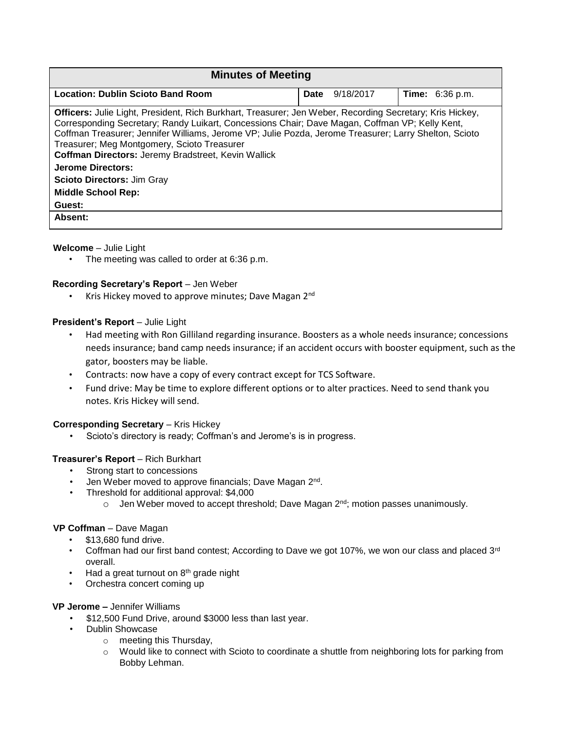| <b>Minutes of Meeting</b>                                                                                                                                                                                                                                                                                                                                                                                                                                                                                                         |                   |                        |
|-----------------------------------------------------------------------------------------------------------------------------------------------------------------------------------------------------------------------------------------------------------------------------------------------------------------------------------------------------------------------------------------------------------------------------------------------------------------------------------------------------------------------------------|-------------------|------------------------|
| <b>Location: Dublin Scioto Band Room</b>                                                                                                                                                                                                                                                                                                                                                                                                                                                                                          | Date<br>9/18/2017 | <b>Time:</b> 6:36 p.m. |
| Officers: Julie Light, President, Rich Burkhart, Treasurer; Jen Weber, Recording Secretary; Kris Hickey,<br>Corresponding Secretary; Randy Luikart, Concessions Chair; Dave Magan, Coffman VP; Kelly Kent,<br>Coffman Treasurer; Jennifer Williams, Jerome VP; Julie Pozda, Jerome Treasurer; Larry Shelton, Scioto<br>Treasurer; Meg Montgomery, Scioto Treasurer<br>Coffman Directors: Jeremy Bradstreet, Kevin Wallick<br><b>Jerome Directors:</b><br><b>Scioto Directors: Jim Gray</b><br><b>Middle School Rep:</b><br>Guest: |                   |                        |
| Absent:                                                                                                                                                                                                                                                                                                                                                                                                                                                                                                                           |                   |                        |

**Welcome** – Julie Light

• The meeting was called to order at 6:36 p.m.

# **Recording Secretary's Report** – Jen Weber

Kris Hickey moved to approve minutes; Dave Magan 2<sup>nd</sup>

# **President's Report - Julie Light**

- Had meeting with Ron Gilliland regarding insurance. Boosters as a whole needs insurance; concessions needs insurance; band camp needs insurance; if an accident occurs with booster equipment, such as the gator, boosters may be liable.
- Contracts: now have a copy of every contract except for TCS Software.
- Fund drive: May be time to explore different options or to alter practices. Need to send thank you notes. Kris Hickey will send.

## **Corresponding Secretary - Kris Hickey**

• Scioto's directory is ready; Coffman's and Jerome's is in progress.

# **Treasurer's Report** – Rich Burkhart

- Strong start to concessions
- Jen Weber moved to approve financials; Dave Magan 2<sup>nd</sup>.
- Threshold for additional approval: \$4,000
	- $\circ$  Jen Weber moved to accept threshold; Dave Magan  $2<sup>nd</sup>$ ; motion passes unanimously.

## **VP Coffman** – Dave Magan

- \$13,680 fund drive.
- Coffman had our first band contest; According to Dave we got 107%, we won our class and placed 3<sup>rd</sup> overall.
- $\cdot$  Had a great turnout on  $8<sup>th</sup>$  grade night
- Orchestra concert coming up

## **VP Jerome –** Jennifer Williams

- \$12,500 Fund Drive, around \$3000 less than last year.
- Dublin Showcase
	- o meeting this Thursday,
	- o Would like to connect with Scioto to coordinate a shuttle from neighboring lots for parking from Bobby Lehman.